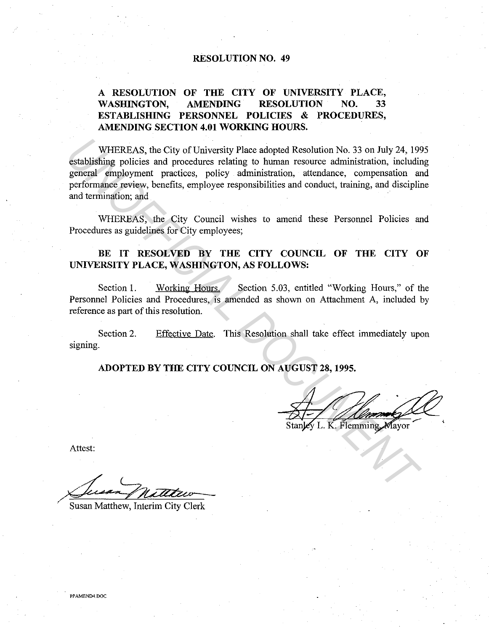#### **RESOLUTION NO. 49**

# **A RESOLUTION OF THE CITY OF UNIVERSITY PLACE, WASHINGTON, AMENDING RESOLUTION NO. 33 ESTABLISHING PERSONNEL POLICIES & PROCEDURES, AMENDING SECTION 4.01 WORKING HOURS.**

WHEREAS, the City of University Place adopted Resolution No. 33 on July 24, 1995 establishing policies and procedures relating to human resource administration, including general employment practices, policy administration, attendance, compensation and performance review, benefits, employee responsibilities and conduct, training, and discipline and termination; and WHEREAS, the City of University Place adopted Resolution No. 33 on July 24, 195<br>
gestablishing policies and procedures relating to human resource administration, including<br>
gerncal employment practices, policy administrati

WHEREAS, the City Council wishes to amend these Personnel Policies and Procedures as guidelines for City employees;

# BE IT RESOLVED BY THE CITY COUNCIL OF THE CITY OF **UNIVERSITY PLACE, WASHINGTON, AS FOLLOWS:**

Section 1. Working Hours. Section 5.03, entitled "Working Hours," of the Personnel Policies and Procedures, is amended as shown on Attachment A, included by reference as part of this resolution.

Section 2. signing. Effective Date. This Resolution shall take effect immediately upon

**ADOPTED BY THE CITY COUNCIL ON AUGUST 28, 1995.** 

Attest:

·

Susan Matthew, Interim City Clerk